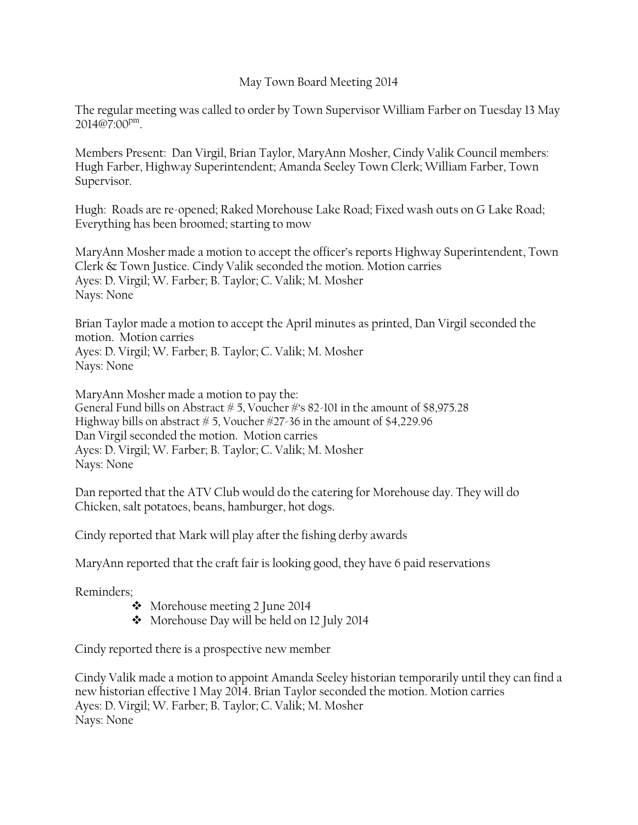## May Town Board Meeting 2014

The regular meeting was called to order by Town Supervisor William Farber on Tuesday 13 May [2014@7:00](mailto:2014@7:00p.m)<sup>pm</sup>.

Members Present: Dan Virgil, Brian Taylor, MaryAnn Mosher, Cindy Valik Council members: Hugh Farber, Highway Superintendent; Amanda Seeley Town Clerk; William Farber, Town Supervisor.

Hugh: Roads are re-opened; Raked Morehouse Lake Road; Fixed wash outs on G Lake Road; Everything has been broomed; starting to mow

MaryAnn Mosher made a motion to accept the officer's reports Highway Superintendent, Town Clerk & Town Justice. Cindy Valik seconded the motion. Motion carries Ayes: D. Virgil; W. Farber; B. Taylor; C. Valik; M. Mosher Nays: None

Brian Taylor made a motion to accept the April minutes as printed, Dan Virgil seconded the motion. Motion carries Ayes: D. Virgil; W. Farber; B. Taylor; C. Valik; M. Mosher Nays: None

MaryAnn Mosher made a motion to pay the: General Fund bills on Abstract  $\frac{1}{\sqrt{2}}$  5, Voucher  $\frac{1}{\sqrt{2}}$ 's 82-101 in the amount of \$8,975.28 Highway bills on abstract  $\# 5$ , Voucher  $\#27-36$  in the amount of \$4,229.96 Dan Virgil seconded the motion. Motion carries Ayes: D. Virgil; W. Farber; B. Taylor; C. Valik; M. Mosher Nays: None

Dan reported that the ATV Club would do the catering for Morehouse day. They will do Chicken, salt potatoes, beans, hamburger, hot dogs.

Cindy reported that Mark will play after the fishing derby awards

MaryAnn reported that the craft fair is looking good, they have 6 paid reservations

Reminders;

- Morehouse meeting 2 June 2014
- \* Morehouse Day will be held on 12 July 2014

Cindy reported there is a prospective new member

Cindy Valik made a motion to appoint Amanda Seeley historian temporarily until they can find a new historian effective 1 May 2014. Brian Taylor seconded the motion. Motion carries Ayes: D. Virgil; W. Farber; B. Taylor; C. Valik; M. Mosher Nays: None